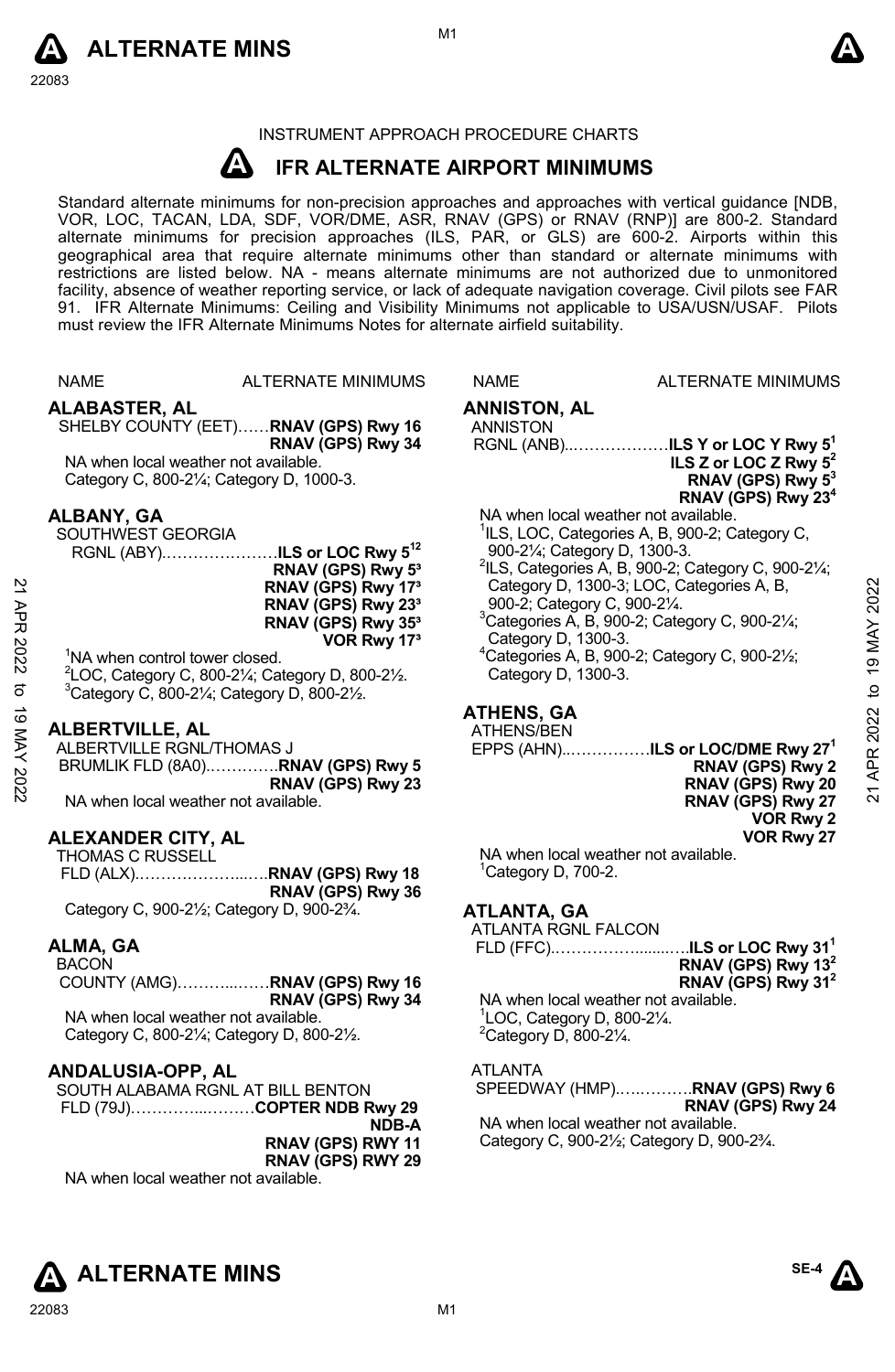



## INSTRUMENT APPROACH PROCEDURE CHARTS

#### **A IFR ALTERNATE AIRPORT MINIMUMS**

Standard alternate minimums for non-precision approaches and approaches with vertical guidance [NDB,<br>VOR, LOC, TACAN, LDA, SDF, VOR/DME, ASR, RNAV (GPS) or RNAV (RNP)] are 800-2. Standard<br>alternate minimums for precision a geographical area that require alternate minimums other than standard or alternate minimums with restrictions are listed below. NA - means alternate minimums are not authorized due to unmonitored facility, absence of weather reporting service, or lack of adequate navigation coverage. Civil pilots see FAR 91. IFR Alternate Minimums: Ceiling and Visibility Minimums not applicable to USA/USN/USAF. Pilots must review the IFR Alternate Minimums Notes for alternate airfield suitability.



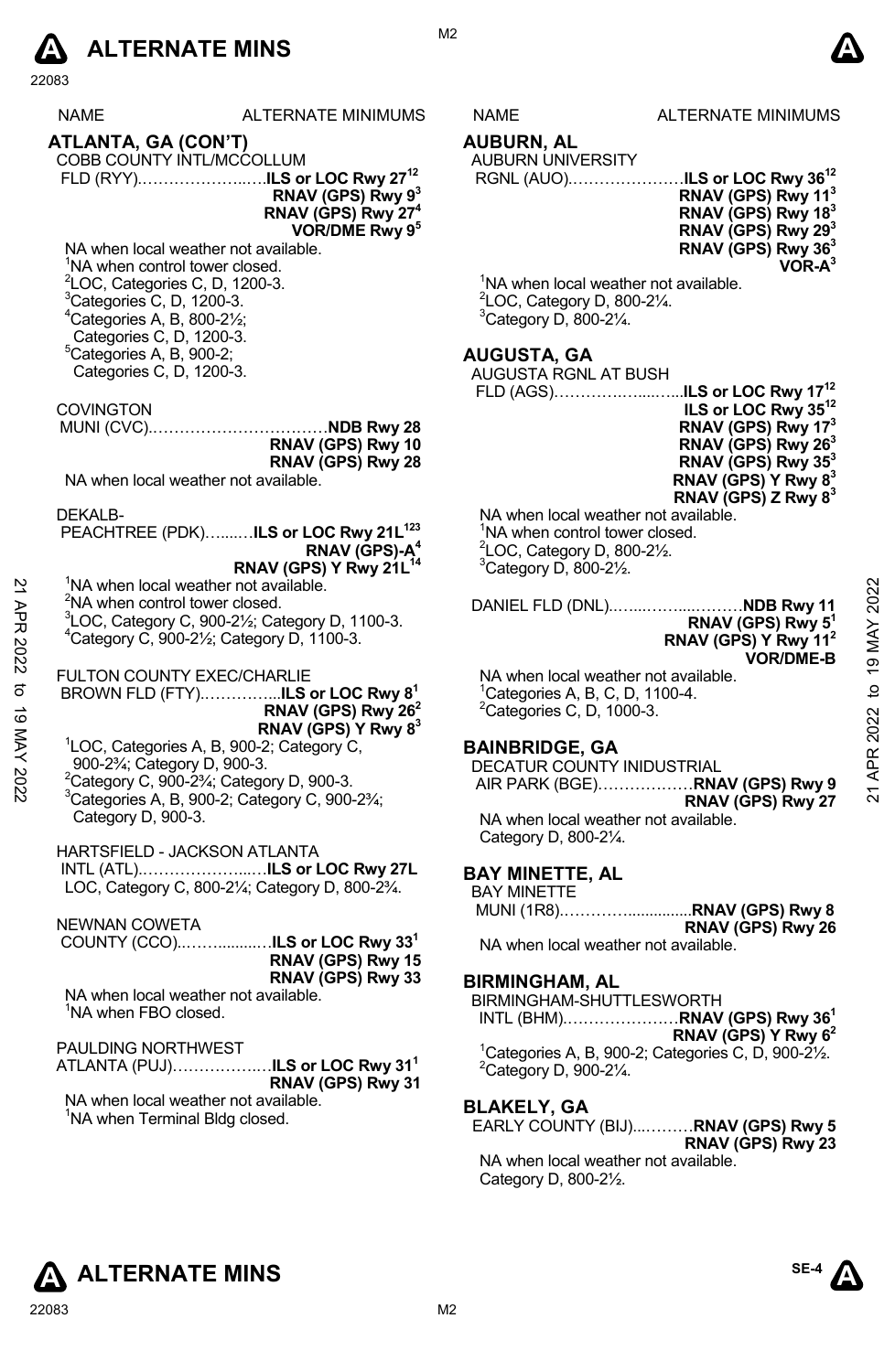

|                       | NAME                                                                                            | ALTERNATE MINIMUMS                                                             | NAME                                                          | <b>ALTERNATE MINIMUMS</b>                                                   |  |
|-----------------------|-------------------------------------------------------------------------------------------------|--------------------------------------------------------------------------------|---------------------------------------------------------------|-----------------------------------------------------------------------------|--|
|                       | ATLANTA, GA (CON'T)                                                                             |                                                                                |                                                               |                                                                             |  |
|                       | COBB COUNTY INTL/MCCOLLUM                                                                       |                                                                                | AUBURN, AL<br>AUBURN UNIVERSITY                               |                                                                             |  |
|                       |                                                                                                 |                                                                                |                                                               | RGNL (AUO)ILS or LOC Rwy 36 <sup>12</sup>                                   |  |
|                       |                                                                                                 | RNAV (GPS) Rwy 93                                                              |                                                               | RNAV (GPS) Rwy 11 <sup>3</sup>                                              |  |
|                       |                                                                                                 | RNAV (GPS) Rwy 27 <sup>4</sup>                                                 |                                                               | RNAV (GPS) Rwy 18 <sup>3</sup>                                              |  |
|                       |                                                                                                 | VOR/DME Rwy 9 <sup>5</sup>                                                     |                                                               | RNAV (GPS) Rwy 29 <sup>3</sup>                                              |  |
|                       | NA when local weather not available.                                                            |                                                                                |                                                               | RNAV (GPS) Rwy 36 <sup>3</sup>                                              |  |
|                       | NA when control tower closed.<br>${}^{2}$ LOC, Categories C, D, 1200-3.                         |                                                                                | <sup>1</sup> NA when local weather not available.             | VOR-A <sup>3</sup>                                                          |  |
|                       | <sup>3</sup> Categories C, D, 1200-3.                                                           |                                                                                | <sup>2</sup> LOC, Category D, 800-21/4.                       |                                                                             |  |
|                       | $4$ Categories A, B, 800-2 $\frac{1}{2}$ ;                                                      |                                                                                | $3$ Category D, 800-2 $\frac{1}{4}$ .                         |                                                                             |  |
|                       | Categories C, D, 1200-3.                                                                        |                                                                                |                                                               |                                                                             |  |
|                       | ${}^5$ Categories A, B, 900-2;                                                                  |                                                                                | <b>AUGUSTA, GA</b>                                            |                                                                             |  |
|                       | Categories C, D, 1200-3.                                                                        |                                                                                | AUGUSTA RGNL AT BUSH                                          |                                                                             |  |
|                       | <b>COVINGTON</b>                                                                                |                                                                                |                                                               | ILS or LOC Rwy 35 <sup>12</sup>                                             |  |
|                       |                                                                                                 |                                                                                |                                                               | RNAV (GPS) Rwy 17 <sup>3</sup>                                              |  |
|                       |                                                                                                 | RNAV (GPS) Rwy 10                                                              |                                                               | RNAV (GPS) Rwy 26 <sup>3</sup>                                              |  |
|                       |                                                                                                 | RNAV (GPS) Rwy 28                                                              |                                                               | RNAV (GPS) Rwy 353                                                          |  |
|                       | NA when local weather not available.                                                            |                                                                                |                                                               | RNAV (GPS) Y Rwy 8 <sup>3</sup>                                             |  |
|                       | DEKALB-                                                                                         |                                                                                | NA when local weather not available.                          | RNAV (GPS) Z Rwy $8^3$                                                      |  |
|                       |                                                                                                 | PEACHTREE (PDK)ILS or LOC Rwy 21L <sup>123</sup>                               | <sup>1</sup> NA when control tower closed.                    |                                                                             |  |
|                       |                                                                                                 | RNAV (GPS)-A <sup>4</sup>                                                      | $2$ LOC, Category D, 800-2 $\frac{1}{2}$ .                    |                                                                             |  |
|                       |                                                                                                 | RNAV (GPS) Y Rwy 21L <sup>14</sup>                                             | $3$ Category D, 800-2 $\frac{1}{2}$ .                         |                                                                             |  |
|                       | <sup>1</sup> NA when local weather not available.<br><sup>2</sup> NA when control tower closed. |                                                                                |                                                               | 2022                                                                        |  |
|                       |                                                                                                 | ${}^{3}$ LOC, Category C, 900-2 $\frac{1}{2}$ ; Category D, 1100-3.            |                                                               | DANIEL FLD (DNL)NDB Rwy 11<br>RNAV (GPS) Rwy $51$                           |  |
| 21 APR 2022           | <sup>4</sup> Category C, 900-21/ <sub>2</sub> ; Category D, 1100-3.                             |                                                                                |                                                               | RNAV (GPS) Y Rwy 11 <sup>2</sup>                                            |  |
|                       |                                                                                                 |                                                                                |                                                               | 19 MAY<br><b>VOR/DME-B</b>                                                  |  |
|                       | FULTON COUNTY EXEC/CHARLIE                                                                      |                                                                                | NA when local weather not available.                          |                                                                             |  |
|                       |                                                                                                 | BROWN FLD (FTY)ILS or LOC Rwy 8 <sup>1</sup><br>RNAV (GPS) Rwy 26 <sup>2</sup> | <sup>1</sup> Categories A, B, C, D, 1100-4.                   |                                                                             |  |
|                       |                                                                                                 | RNAV (GPS) Y Rwy 8 <sup>3</sup>                                                | <sup>2</sup> Categories C, D, 1000-3.                         |                                                                             |  |
| $202\lambda$ VM 61 03 | <sup>1</sup> LOC, Categories A, B, 900-2; Category C,                                           |                                                                                | <b>BAINBRIDGE, GA</b>                                         | APR 2022 to                                                                 |  |
|                       | 900-2 <sup>3</sup> / <sub>4</sub> ; Category D, 900-3.                                          |                                                                                | DECATUR COUNTY INIDUSTRIAL                                    |                                                                             |  |
|                       | <sup>2</sup> Category C, 900-2 $\frac{3}{4}$ ; Category D, 900-3.                               |                                                                                |                                                               | AIR PARK (BGE) RNAV (GPS) Rwy 9<br>$\overline{21}$                          |  |
|                       | <sup>3</sup> Categories A, B, 900-2; Category C, 900-23/4;                                      |                                                                                |                                                               | RNAV (GPS) Rwy 27                                                           |  |
|                       | Category D, 900-3.                                                                              |                                                                                | NA when local weather not available.<br>Category D, 800-21/4. |                                                                             |  |
|                       | HARTSFIELD - JACKSON ATLANTA                                                                    |                                                                                |                                                               |                                                                             |  |
|                       |                                                                                                 |                                                                                | <b>BAY MINETTE, AL</b>                                        |                                                                             |  |
|                       |                                                                                                 | LOC, Category C, 800-21/4; Category D, 800-21/4.                               | <b>BAY MINETTE</b>                                            |                                                                             |  |
|                       |                                                                                                 |                                                                                |                                                               |                                                                             |  |
|                       | <b>NEWNAN COWETA</b>                                                                            | COUNTY (CCO)ILS or LOC Rwy 33 <sup>1</sup>                                     | NA when local weather not available.                          | RNAV (GPS) Rwy 26                                                           |  |
|                       |                                                                                                 | RNAV (GPS) Rwy 15                                                              |                                                               |                                                                             |  |
|                       |                                                                                                 | RNAV (GPS) Rwy 33                                                              | <b>BIRMINGHAM, AL</b>                                         |                                                                             |  |
|                       | NA when local weather not available.                                                            |                                                                                | BIRMINGHAM-SHUTTLESWORTH                                      |                                                                             |  |
|                       | <sup>1</sup> NA when FBO closed.                                                                |                                                                                |                                                               | INTL (BHM)RNAV (GPS) Rwy 36 <sup>1</sup>                                    |  |
|                       | PAULDING NORTHWEST                                                                              |                                                                                |                                                               | RNAV (GPS) Y Rwy $62$                                                       |  |
|                       |                                                                                                 | ATLANTA (PUJ)ILS or LOC Rwy 31 <sup>1</sup>                                    | <sup>2</sup> Category D, 900-21/4.                            | <sup>1</sup> Categories A, B, 900-2; Categories C, D, 900-2 $\frac{1}{2}$ . |  |
|                       |                                                                                                 | RNAV (GPS) Rwy 31                                                              |                                                               |                                                                             |  |
|                       | NA when local weather not available.                                                            |                                                                                | <b>BLAKELY, GA</b>                                            |                                                                             |  |
|                       | <sup>1</sup> NA when Terminal Bldg closed.                                                      |                                                                                |                                                               | EARLY COUNTY (BIJ)RNAV (GPS) Rwy 5                                          |  |
|                       |                                                                                                 |                                                                                |                                                               | RNAV (GPS) Rwy 23<br>NA when local weather not available                    |  |
|                       |                                                                                                 |                                                                                |                                                               |                                                                             |  |

M<sub>2</sub>

# **AUGUSTA, GA**

| ILS or LOC Rwy 35 <sup>12</sup> |
|---------------------------------|
| RNAV (GPS) Rwy 17 <sup>3</sup>  |
| RNAV (GPS) Rwy 26 <sup>3</sup>  |
| RNAV (GPS) Rwy 35 <sup>3</sup>  |
| RNAV (GPS) Y Rwy 8 <sup>3</sup> |
| RNAV (GPS) Z Rwy $8^3$          |

### **BAINBRIDGE, GA**

### **BAY MINETTE, AL**

#### **BIRMINGHAM, AL**

# **BLAKELY, GA**

NA when local weather not available. Category D, 800-2½.



**SE-4**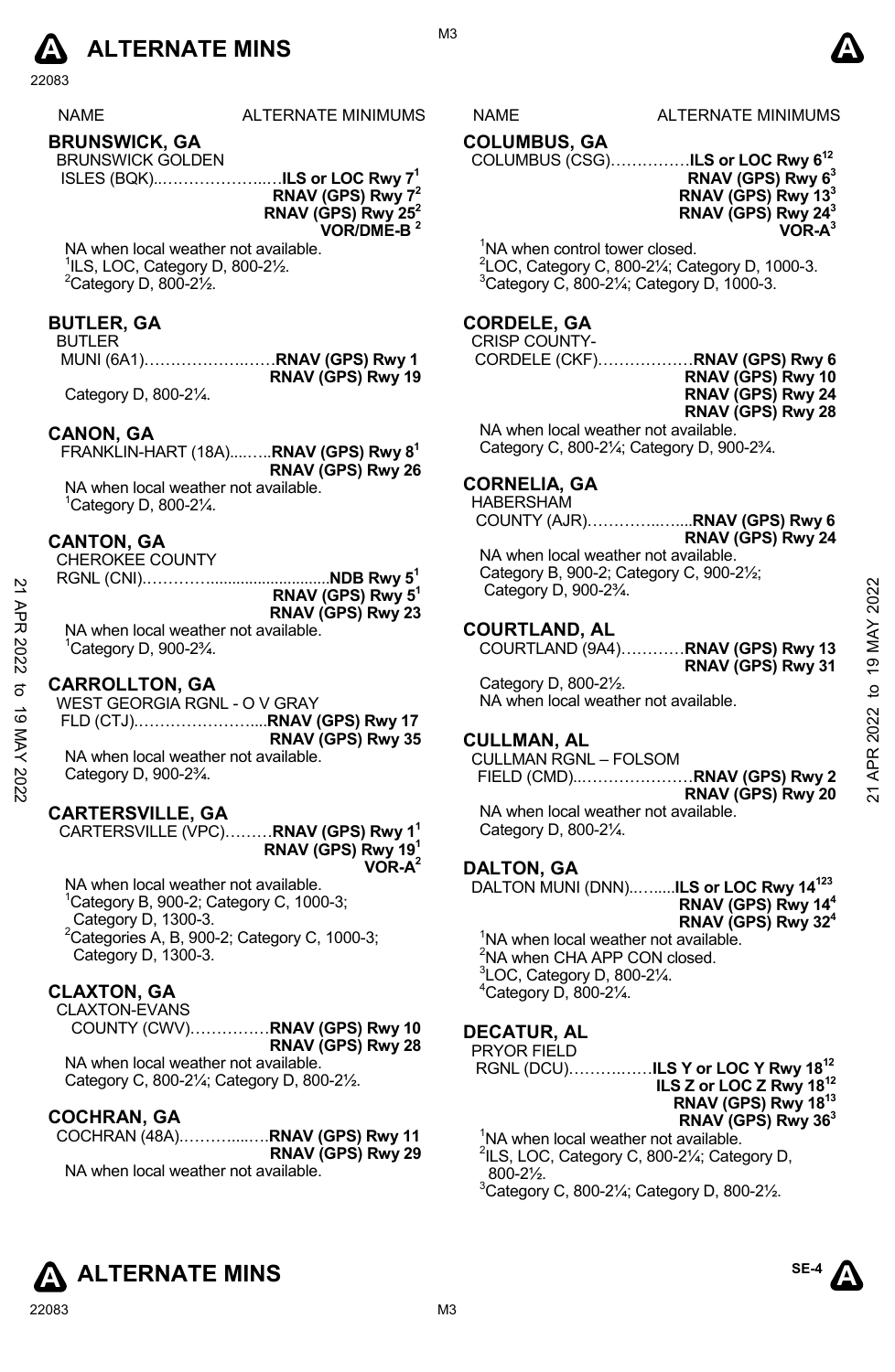

| <b>NAME</b> | <b>ALTERNATE MINIMUMS</b> |
|-------------|---------------------------|
|             |                           |

# **BRUNSWICK, GA**

BRUNSWICK GOLDEN ISLES (BQK)..………………..…**ILS or LOC Rwy 71** 

**RNAV (GPS) Rwy 72 RNAV (GPS) Rwy 252 VOR/DME-B 2** 

 $RIDDD......$ 

NA when local weather not available. 1 ILS, LOC, Category D, 800-2½.  $2$ Category D, 800-2 $\frac{1}{2}$ .

#### **BUTLER, GA**

#### BUTLER

 MUNI (6A1)……………….……**RNAV (GPS) Rwy 1 RNAV (GPS) Rwy 19**  Category D, 800-2¼.

**CANON, GA**  FRANKLIN-HART (18A)....…..**RNAV (GPS) Rwy 81 RNAV (GPS) Rwy 26**  NA when local weather not available.

1 Category D, 800-2¼.

# **CANTON, GA**

CHEROKÉE COUNTY

|                                       | RNAV (GPS) Rwy 5 <sup>1</sup> |
|---------------------------------------|-------------------------------|
|                                       | RNAV (GPS) Rwy 23             |
| NA when local weather not available.  |                               |
| $1$ Category D, 900-2 $\frac{3}{4}$ . |                               |

#### **CARROLLTON, GA**

|      | RNAV (GPS) Rwy 5 <sup>1</sup>        | .<br>Category D, 900-23/4.           | 2022           |
|------|--------------------------------------|--------------------------------------|----------------|
| 记    | RNAV (GPS) Rwy 23                    |                                      |                |
|      | NA when local weather not available. | <b>COURTLAND, AL</b>                 | MAY            |
| 2022 | $C$ ategory D, 900-2 $\frac{3}{4}$ . | COURTLAND (9A4)RNAV (GPS) Rwy 13     |                |
|      |                                      | RNAV (GPS) Rwy 31                    | $\overline{9}$ |
| ನ    | <b>CARROLLTON, GA</b>                | Category D, 800-21/2.                | ₫              |
|      | WEST GEORGIA RGNL - O V GRAY         | NA when local weather not available. |                |
| ಕ    |                                      |                                      | 2022           |
| ⋚    | RNAV (GPS) Rwy 35                    | <b>CULLMAN, AL</b>                   |                |
| ≺    | NA when local weather not available. | <b>CULLMAN RGNL - FOLSOM</b>         |                |
|      | Category D, $900-2\frac{3}{4}$ .     |                                      | APR            |
| 2022 |                                      | RNAV (GPS) Rwy 20                    | ম              |
|      |                                      |                                      |                |

### **CARTERSVILLE, GA**

CARTERSVILLE (VPC)………**RNAV (GPS) Rwy 11 RNAV (GPS) Rwy 191 VOR-A2**

NA when local weather not available. 1 Category B, 900-2; Category C, 1000-3; Category D, 1300-3.  ${}^{2}$ Categories A, B, 900-2; Category C, 1000-3; Category D, 1300-3.

#### **CLAXTON, GA**

CLAXTON-EVANS COUNTY (CWV)……………**RNAV (GPS) Rwy 10 RNAV (GPS) Rwy 28** 

NA when local weather not available. Category C, 800-2¼; Category D, 800-2½.

### **COCHRAN, GA**

COCHRAN (48A).………....….**RNAV (GPS) Rwy 11 RNAV (GPS) Rwy 29**  NA when local weather not available.

S NAME ALTERNATE MINIMUMS

# **COLUMBUS, GA**

COLUMBUS (CSG)……………**ILS or LOC Rwy 612** 

#### **RNAV (GPS) Rwy 63 RNAV (GPS) Rwy 133 RNAV (GPS) Rwy 243 VOR-A3**

<sup>1</sup>NA when control tower closed. <sup>2</sup> LOC, Category C, 800-2¼; Category D, 1000-3.<br><sup>3</sup> Category C, 800-21⁄; Category D, 1000-2.  $3$ Category C, 800-2 $\frac{1}{4}$ ; Category D, 1000-3.

#### **CORDELE, GA**

#### CRISP COUNTY-

CORDELE (CKF)………………**RNAV (GPS) Rwy 6 RNAV (GPS) Rwy 10 RNAV (GPS) Rwy 24 RNAV (GPS) Rwy 28** 

NA when local weather not available. Category C, 800-2¼; Category D, 900-2¾.

### **CORNELIA, GA**

HABERSHAM

COUNTY (AJR)…………..…....**RNAV (GPS) Rwy 6** 

**RNAV (GPS) Rwy 24** NA when local weather not available. Category B, 900-2; Category C, 900-2½; Category D, 900-2¾.

#### **COURTLAND, AL**

### **CULLMAN, AL**

NA when local weather not available. Category D, 800-2¼.

### **DALTON, GA**

DALTON MUNI (DNN)..….....**ILS or LOC Rwy 14123 RNAV (GPS) Rwy 144 RNAV (GPS) Rwy 324**  <sup>1</sup>NA when local weather not available.

<sup>2</sup>NA when CHA APP CON closed. 3 LOC, Category D, 800-2¼. 4 Category D, 800-2¼.

# **DECATUR, AL**

PRYOR FIELD RGNL (DCU)……….……**ILS Y or LOC Y Rwy 1812 ILS Z or LOC Z Rwy 1812 RNAV (GPS) Rwy 1813 RNAV (GPS) Rwy 363**  <sup>1</sup>NA when local weather not available.

<sup>2</sup>ILS, LOC, Category C, 800-21/<sub>4</sub>; Category D, 800-2½.

 $3$ Category C, 800-2 $\frac{1}{4}$ ; Category D, 800-2 $\frac{1}{2}$ .





M3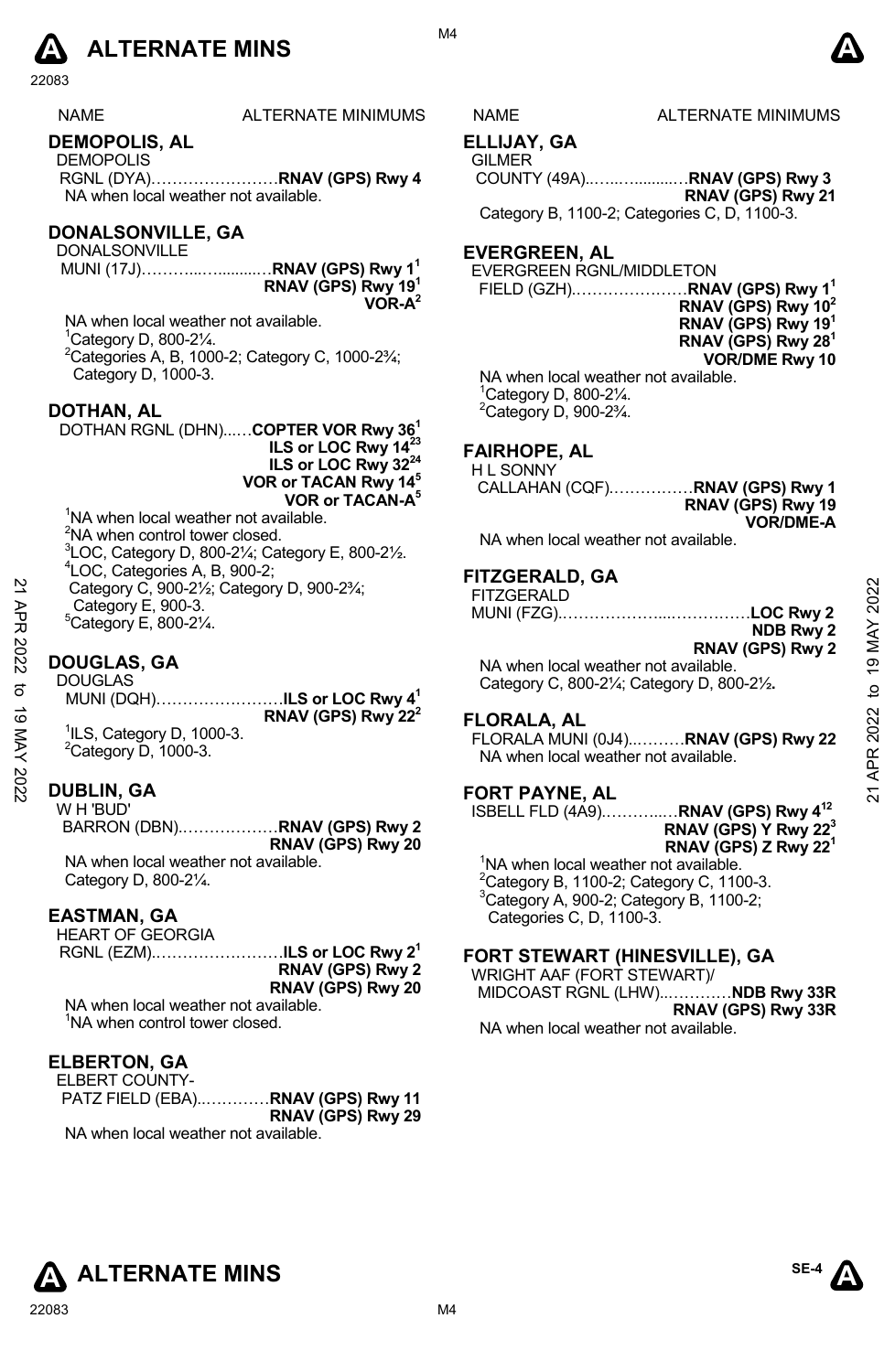

| <b>NAME</b> | ALTERNATE MINIMUM |
|-------------|-------------------|
|             |                   |

# **DEMOPOLIS, AL**

DEMOPOLIS RGNL (DYA)……………………**RNAV (GPS) Rwy 4**  NA when local weather not available.

# **DONALSONVILLE, GA**

DONALSONVILLE MUNI (17J)………...….........…**RNAV (GPS) Rwy 11 RNAV (GPS) Rwy 191 VOR-A2** 

NA when local weather not available. 1 Category D, 800-2¼. 2 Categories A, B, 1000-2; Category C, 1000-2¾; Category D, 1000-3.

#### **DOTHAN, AL**

DOTHAN RGNL (DHN)...…**COPTER VOR Rwy 361 ILS or LOC Rwy 1423 ILS or LOC Rwy 3224 VOR or TACAN Rwy 145 VOR or TACAN-A5** <sup>1</sup>NA when local weather not available.

 $2$ NA when control tower closed.  ${}^{3}$ LOC, Category D, 800-21⁄<sub>4</sub>; Category E, 800-21⁄<sub>2</sub>. LOC, Categories A, B, 900-2; Category C, 900-2½; Category D, 900-2¾; Category E, 900-3.  $5$ Category E, 800-2 $\frac{1}{4}$ .

# **DOUGLAS, GA**

#### **DUBLIN, GA**

W H 'BUD' BARRON (DBN).………………**RNAV (GPS) Rwy 2 RNAV (GPS) Rwy 20**  NA when local weather not available.

Category D, 800-2¼.

#### **EASTMAN, GA**

HEART OF GEORGIA

RGNL (EZM).……………………**ILS or LOC Rwy 21 RNAV (GPS) Rwy 2 RNAV (GPS) Rwy 20**

NA when local weather not available. <sup>1</sup>NA when control tower closed.

## **ELBERTON, GA**

ELBERT COUNTY-PATZ FIELD (EBA)..…………**RNAV (GPS) Rwy 11 RNAV (GPS) Rwy 29**  NA when local weather not available.

S NAME ALTERNATE MINIMUMS

#### **ELLIJAY, GA**

**GILMER** 

 COUNTY (49A)..…..….........…**RNAV (GPS) Rwy 3 RNAV (GPS) Rwy 21** 

Category B, 1100-2; Categories C, D, 1100-3.

# **EVERGREEN, AL**

EVERGREEN RGNL/MIDDLETON **FIELD (GZH)..........** 

| RNAV (GPS) Rwy 1 $^{\rm 1}$    |
|--------------------------------|
| RNAV (GPS) Rwy 10 <sup>2</sup> |
| RNAV (GPS) Rwy 19 <sup>1</sup> |
| RNAV (GPS) Rwy 28 <sup>1</sup> |
| <b>VOR/DME Rwy 10</b>          |
| er not available.              |

NA when local weathe 1 Category D, 800-2¼.  $2$ Category D, 900-2 $\frac{3}{4}$ .

### **FAIRHOPE, AL**

H L SONNY CALLAHAN (CQF).……………**RNAV (GPS) Rwy 1 RNAV (GPS) Rwy 19 VOR/DME-A** 

NA when local weather not available.

#### **FITZGERALD, GA**

| 2<br>ЯPR  | Category C, 900-21/ <sub>2</sub> ; Category D, 900-23/4;<br>Category E, 900-3.<br><sup>5</sup> Category E, 800-21⁄4. | .<br><b>FITZGERALD</b><br>LOC Rwy 2<br><b>NDB Rwy 2</b>                                                 |                            |
|-----------|----------------------------------------------------------------------------------------------------------------------|---------------------------------------------------------------------------------------------------------|----------------------------|
| 2022<br>ನ | <b>DOUGLAS, GA</b><br><b>DOUGLAS</b><br>MUNI (DQH)ILS or LOC Rwy 4 <sup>1</sup>                                      | RNAV (GPS) Rwy 2<br>NA when local weather not available.<br>Category C, 800-21/4; Category D, 800-21/2. | MAY<br>$\overline{9}$<br>₫ |
| ಠ<br>KAY  | RNAV (GPS) Rwy $22^2$<br><sup>1</sup> ILS, Category D, 1000-3.<br>$2$ Category D, 1000-3.                            | <b>FLORALA, AL</b><br>FLORALA MUNI (0J4)RNAV (GPS) Rwy 22<br>NA when local weather not available.       | 2022<br>≃                  |
| 2022      | <b>DUBLIN, GA</b>                                                                                                    | <b>FORT PAYNE, AL</b>                                                                                   |                            |

#### **FLORALA, AL**

# **FORT PAYNE, AL**

ISBELL FLD (4A9).………..…**RNAV (GPS) Rwy 412 RNAV (GPS) Y Rwy 223 RNAV (GPS) Z Rwy 221** 

<sup>1</sup>NA when local weather not available.  $2$ Category B, 1100-2; Category C, 1100-3. 3 Category A, 900-2; Category B, 1100-2; Categories C, D, 1100-3.

### **FORT STEWART (HINESVILLE), GA**

WRIGHT AAF (FORT STEWART)/ MIDCOAST RGNL (LHW)..…………**NDB Rwy 33R RNAV (GPS) Rwy 33R** 

NA when local weather not available.

**ALTERNATE MINS**  ${}^{\text{SE-4}}\Lambda$ 

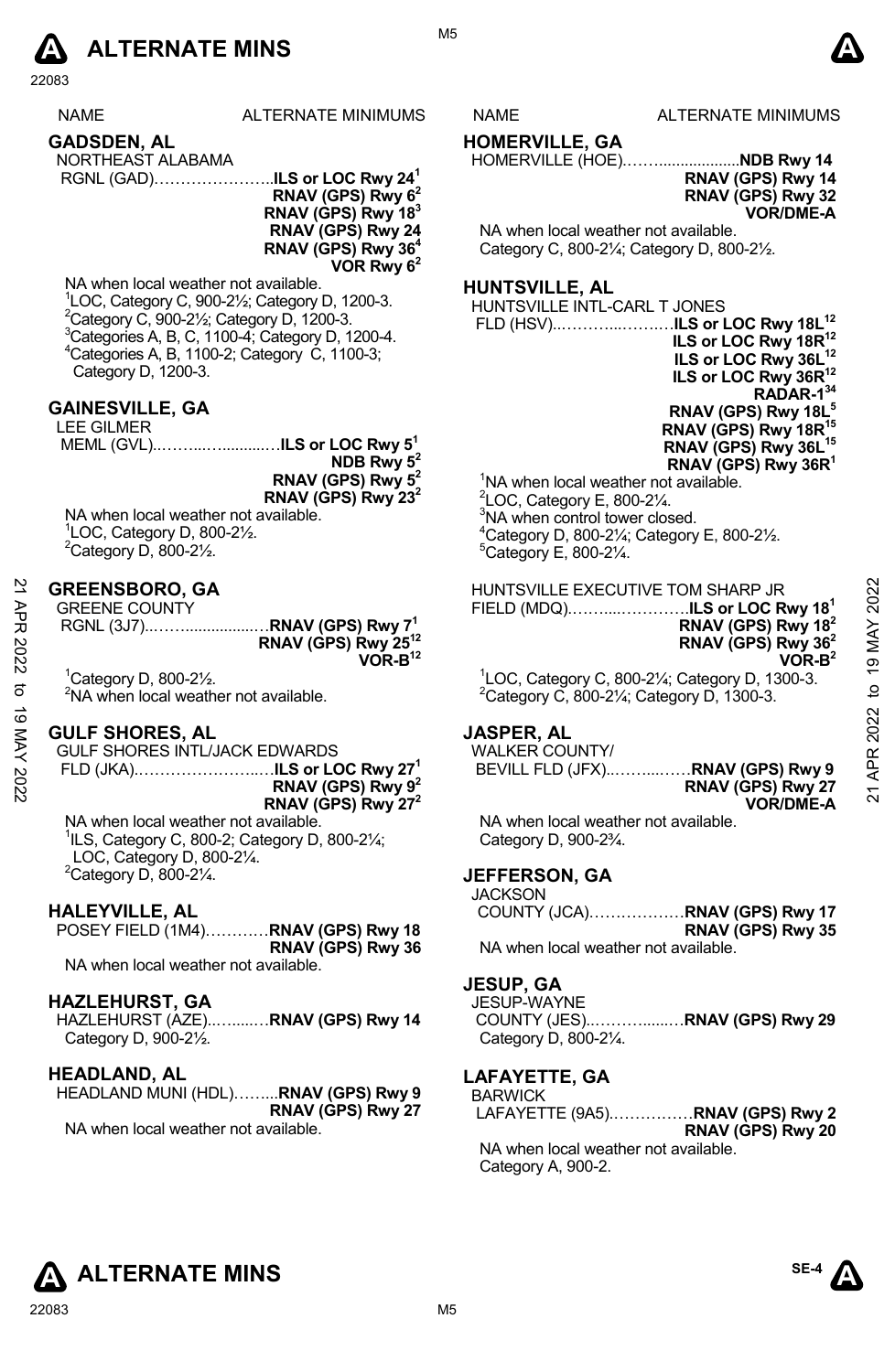

|             | zzuos                                                                                                                                                                                           |                                                                                                                                     |                                                  |                                                                                                                                                                                                                                                                                                                                                                                   |                               |
|-------------|-------------------------------------------------------------------------------------------------------------------------------------------------------------------------------------------------|-------------------------------------------------------------------------------------------------------------------------------------|--------------------------------------------------|-----------------------------------------------------------------------------------------------------------------------------------------------------------------------------------------------------------------------------------------------------------------------------------------------------------------------------------------------------------------------------------|-------------------------------|
|             | NAME                                                                                                                                                                                            | ALTERNATE MINIMUMS                                                                                                                  | NAME                                             | ALTERNATE MINIMUMS                                                                                                                                                                                                                                                                                                                                                                |                               |
|             | <b>GADSDEN, AL</b><br>NORTHEAST ALABAMA                                                                                                                                                         | RNAV (GPS) Rwy $62$<br>RNAV (GPS) Rwy 18 <sup>3</sup><br>RNAV (GPS) Rwy 24<br>RNAV (GPS) Rwy 36 <sup>4</sup><br>VOR Rwy $6^2$       | <b>HOMERVILLE, GA</b>                            | HOMERVILLE (HOE)NDB Rwy 14<br>RNAV (GPS) Rwy 14<br>RNAV (GPS) Rwy 32<br><b>VOR/DME-A</b><br>NA when local weather not available.<br>Category C, 800-21/4; Category D, 800-21/2.                                                                                                                                                                                                   |                               |
|             | NA when local weather not available.<br><sup>2</sup> Category C, 900-21/ <sub>2</sub> ; Category D, 1200-3.<br><sup>4</sup> Categories A, B, 1100-2; Category C, 1100-3;<br>Category D, 1200-3. | ${}^{1}$ LOC, Category C, 900-2 $\frac{1}{2}$ ; Category D, 1200-3.<br><sup>3</sup> Categories A, B, C, 1100-4; Category D, 1200-4. | <b>HUNTSVILLE, AL</b>                            | HUNTSVILLE INTL-CARL T JONES<br>FLD (HSV)ILS or LOC Rwy 18L <sup>12</sup><br>ILS or LOC Rwy 18R <sup>12</sup><br>ILS or LOC Rwy 36L <sup>12</sup><br>ILS or LOC Rwy 36R <sup>12</sup><br>RADAR-134                                                                                                                                                                                |                               |
|             | <b>GAINESVILLE, GA</b><br><b>LEE GILMER</b><br>NA when local weather not available.<br>$1$ LOC, Category D, 800-2 $\frac{1}{2}$ .<br><sup>2</sup> Category D, 800-21/2.                         | MEML (GVL)ILS or LOC Rwy 5 <sup>1</sup><br>NDB Rwy $5^2$<br>RNAV (GPS) Rwy $5^2$<br>RNAV (GPS) Rwy $23^2$                           | $5$ Category E, 800-2 $\frac{1}{4}$ .            | RNAV (GPS) Rwy 18L <sup>5</sup><br>RNAV (GPS) Rwy 18R <sup>15</sup><br>RNAV (GPS) Rwy 36L <sup>15</sup><br>RNAV (GPS) Rwy 36R <sup>1</sup><br><sup>1</sup> NA when local weather not available.<br>$2$ LOC, Category E, 800-2 $\frac{1}{4}$ .<br><sup>3</sup> NA when control tower closed.<br>${}_{.}^{4}$ Category D, 800-21/ <sub>4</sub> ; Category E, 800-21/ <sub>2</sub> . |                               |
| 21 APR 2022 | <b>GREENSBORO, GA</b><br><b>GREENE COUNTY</b>                                                                                                                                                   | RNAV (GPS) Rwy 25 <sup>12</sup><br>$VOR-B12$                                                                                        |                                                  | HUNTSVILLE EXECUTIVE TOM SHARP JR<br>FIELD (MDQ)ILS or LOC Rwy 18 <sup>1</sup><br>RNAV (GPS) Rwy 18 $2$<br>RNAV (GPS) Rwy 36 <sup>2</sup><br>$VOR-B2$                                                                                                                                                                                                                             | 2022<br>MAY<br>$\overline{9}$ |
| đ           | ${}^{1}$ Category D, 800-2 $\frac{1}{2}$ .<br><sup>2</sup> NA when local weather not available.                                                                                                 |                                                                                                                                     |                                                  | ${}^{1}$ LOC, Category C, 800-2¼; Category D, 1300-3.<br><sup>2</sup> Category C, 800-21/ <sub>4</sub> ; Category D, 1300-3.                                                                                                                                                                                                                                                      | $\overline{a}$                |
| 19 MAY 2022 | <b>GULF SHORES, AL</b><br>GULF SHORES INTL/JACK EDWARDS                                                                                                                                         | RNAV (GPS) Rwy 9 <sup>2</sup><br>RNAV (GPS) Rwy 27 <sup>2</sup>                                                                     | <b>JASPER, AL</b><br><b>WALKER COUNTY/</b>       | BEVILL FLD (JFX)RNAV (GPS) Rwy 9<br>RNAV (GPS) Rwy 27<br><b>VOR/DME-A</b>                                                                                                                                                                                                                                                                                                         | APR 2022<br>$\overline{2}$    |
|             | NA when local weather not available.<br>$^1$ ILS, Category C, 800-2; Category D, 800-2 $\frac{1}{4}$ ;<br>LOC, Category D, 800-21/4.<br><sup>2</sup> Category D, 800-21/4.                      |                                                                                                                                     | Category D, 900-23/4.<br><b>JEFFERSON, GA</b>    | NA when local weather not available.                                                                                                                                                                                                                                                                                                                                              |                               |
|             | <b>HALEYVILLE, AL</b><br>NA when local weather not available.                                                                                                                                   | POSEY FIELD (1M4) RNAV (GPS) Rwy 18<br>RNAV (GPS) Rwy 36                                                                            | <b>JACKSON</b>                                   | COUNTY (JCA)RNAV (GPS) Rwy 17<br>RNAV (GPS) Rwy 35<br>NA when local weather not available.                                                                                                                                                                                                                                                                                        |                               |
|             | <b>HAZLEHURST, GA</b><br>HAZI FHURST (AZE)                                                                                                                                                      | RNAV (GPS) Rwy 14                                                                                                                   | <b>JESUP, GA</b><br>JESUP-WAYNE<br>COLINTY (JES) | <b>RNAV (GPS) Rwy 29</b>                                                                                                                                                                                                                                                                                                                                                          |                               |
|             |                                                                                                                                                                                                 |                                                                                                                                     |                                                  |                                                                                                                                                                                                                                                                                                                                                                                   |                               |

HAZLEHURST (AZE)..….....…**RNAV (GPS) Rwy 14** Category D, 900-2½.

#### **HEADLAND, AL**

HEADLAND MUNI (HDL)……...**RNAV (GPS) Rwy 9 RNAV (GPS) Rwy 27** NA when local weather not available.

GPS) Rwy 29 Category D, 800-21/4.

#### **LAFAYETTE, GA**  BARWICK

LAFAYETTE (9A5).……………**RNAV (GPS) Rwy 2 RNAV (GPS) Rwy 20** 

NA when local weather not available. Category A, 900-2.



22083 M5



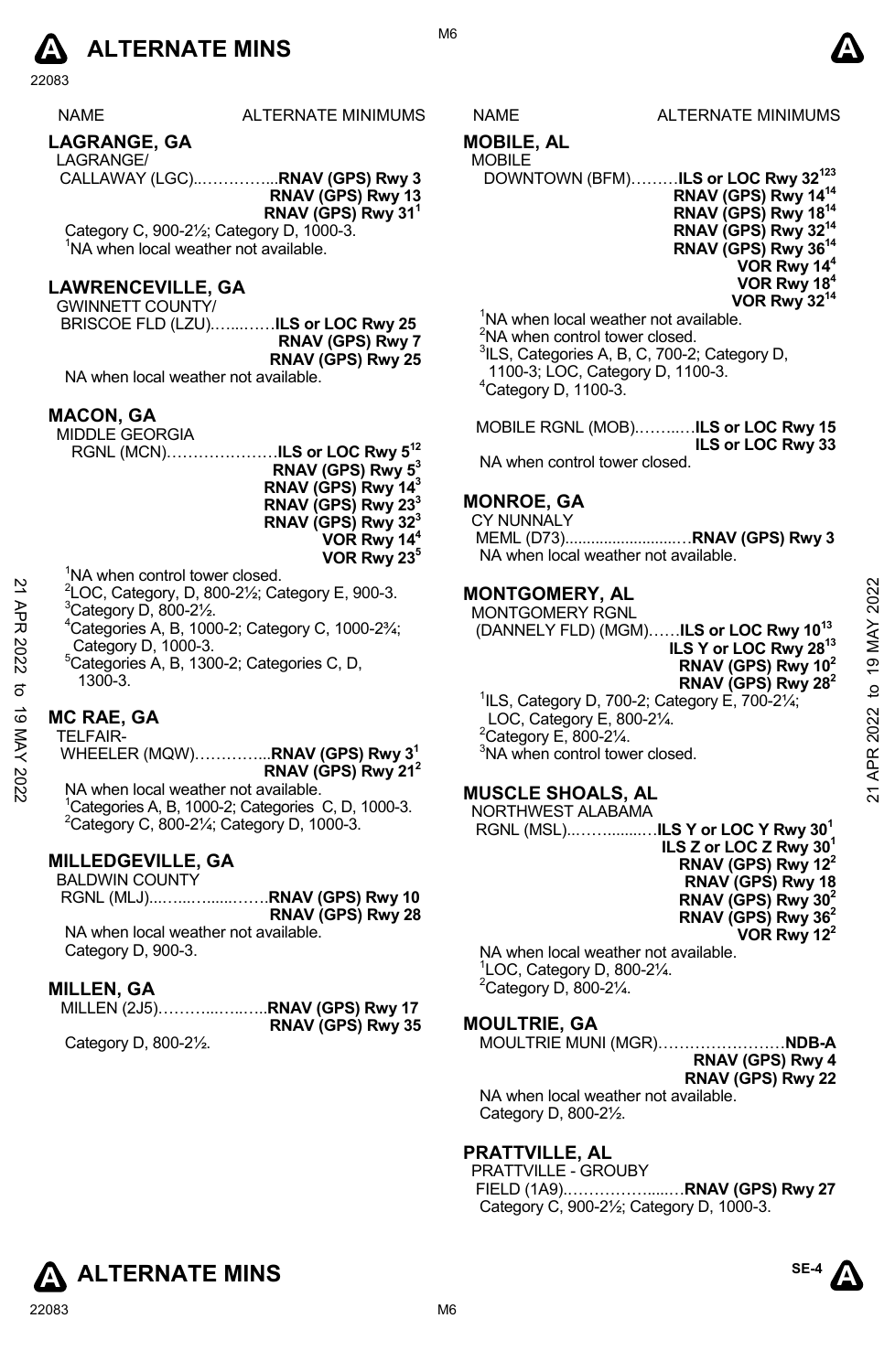

| <b>NAME</b> | ALTERNATE MINIMUMS |
|-------------|--------------------|
|-------------|--------------------|

# **LAGRANGE, GA**

LAGRANGE/

CALLAWAY (LGC)..…………...**RNAV (GPS) Rwy 3** 

**RNAV (GPS) Rwy 13 RNAV (GPS) Rwy 311** 

Category C, 900-2½; Category D, 1000-3. <sup>1</sup>NA when local weather not available.

#### **LAWRENCEVILLE, GA**

GWINNETT COUNTY/ BRISCOE FLD (LZU).…...……**ILS or LOC Rwy 25 RNAV (GPS) Rwy 7** 

**RNAV (GPS) Rwy 25**  NA when local weather not available.

#### **MACON, GA**

MIDDLE GEORGIA RGNL (MCN)…………………**ILS or LOC Rwy 512** 

- **RNAV (GPS) Rwy 53 RNAV (GPS) Rwy 143 RNAV (GPS) Rwy 233 RNAV (GPS) Rwy 323** 
	- **VOR Rwy 144**
	- **VOR Rwy 235**
- <sup>1</sup>NA when control tower closed.
- $^{2}$ LOC, Category, D, 800-21⁄<sub>2</sub>; Category E, 900-3.
- Category D, 800-2½.
- 4 Categories A, B, 1000-2; Category C, 1000-2¾; Category D, 1000-3.
- 5 Categories A, B, 1300-2; Categories C, D, 1300-3.

### **MC RAE, GA**

TELFAIR- WHEELER (MQW)…………...**RNAV (GPS) Rwy 31** 

**RNAV (GPS) Rwy 212**  NA when local weather not available.

<sup>1</sup>Categories A, B, 1000-2; Categories C, D, 1000-3. Category C, 800-2¼; Category D, 1000-3.

# **MILLEDGEVILLE, GA**

| <b>BALDWIN COUNTY</b> |                             |
|-----------------------|-----------------------------|
|                       | RGNL (MLJ)RNAV (GPS) Rwy 10 |
|                       | RNAV (GPS) Rwy 28           |

NA when local weather not available. Category D, 900-3.

# **MILLEN, GA**

|                                                  | RNAV (GPS) Rwy 35 |
|--------------------------------------------------|-------------------|
| $\sim$ $\sim$ $\sim$ $\sim$ $\sim$ $\sim$ $\sim$ |                   |

Category D, 800-2½.

# S NAME ALTERNATE MINIMUMS

# **MOBILE, AL**

MOBILE

DOWNTOWN (BFM)………**ILS or LOC Rwy 32123 RNAV (GPS) Rwy 1414 RNAV (GPS) Rwy 1814 RNAV (GPS) Rwy 3214 RNAV (GPS) Rwy 3614 VOR Rwy 144 VOR Rwy 184 VOR Rwy 3214**

<sup>1</sup>NA when local weather not available. <sup>2</sup>NA when control tower closed. <sup>3</sup>ILS, Categories A, B, C, 700-2; Category D, 1100-3; LOC, Category D, 1100-3. 4 Category D, 1100-3.

MOBILE RGNL (MOB).……..…**ILS or LOC Rwy 15 ILS or LOC Rwy 33**  NA when control tower closed.

### **MONROE, GA**

CY NUNNALY MEML (D73)..........................…**RNAV (GPS) Rwy 3**  NA when local weather not available.

#### **MONTGOMERY, AL**

MONTGOMERY RGNL (DANNELY FLD) (MGM)……**ILS or LOC Rwy 1013 ILS Y or LOC Rwy 2813 RNAV (GPS) Rwy 102 RNAV (GPS) Rwy 282**  1 ILS, Category D, 700-2; Category E, 700-2¼; LOC, Category E, 800-2¼. 21 All  $22$  MC RAE, GA<br>  $24$  MCRIENT (DANNELY FLD) (MGM)......ILS or LOC Rwy 10<sup>13</sup><br>
21  $2$  Category D, 800-21⁄2.<br>
<sup>21</sup> Categories A, B, 1000-3.<br>
<sup>22</sup> Category D, 1000-3.<br>
<sup>22</sup> Category D, 1000-3.<br>
<sup>22</sup> Category B, 1900-3

 $2^2$ Category E, 800-2 $\frac{1}{4}$ . <sup>3</sup>NA when control tower closed.

# **MUSCLE SHOALS, AL**

NORTHWEST ALABAMA RGNL (MSL)..……........…**ILS Y or LOC Y Rwy 301 ILS Z or LOC Z Rwy 301 RNAV (GPS) Rwy 122 RNAV (GPS) Rwy 18 RNAV (GPS) Rwy 302 RNAV (GPS) Rwy 362 VOR Rwy 122** 

NA when local weather not available. 1 LOC, Category D, 800-2¼.  $2$ Category D, 800-2 $\frac{1}{4}$ .

### **MOULTRIE, GA**

MOULTRIE MUNI (MGR)……………………**NDB-A RNAV (GPS) Rwy 4 RNAV (GPS) Rwy 22** 

NA when local weather not available. Category D, 800-2½.

# **PRATTVILLE, AL**

PRATTVILLE - GROUBY FIELD (1A9).…………….....…**RNAV (GPS) Rwy 27**  Category C, 900-2½; Category D, 1000-3.



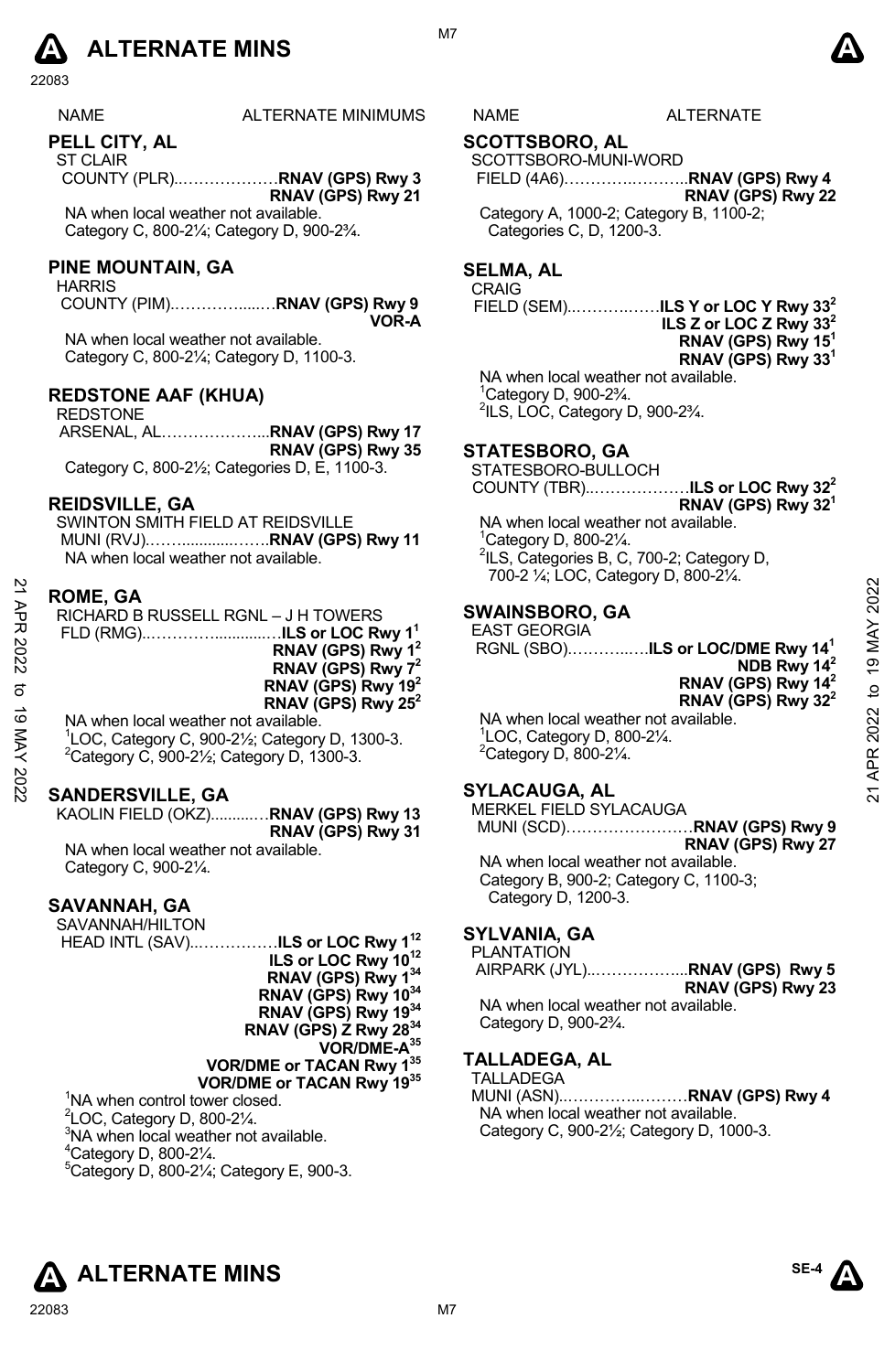

| <b>NAME</b> | <b>ALTERNATE MINIMUMS</b> | <b>IAME</b> | <b>ALTERNATE</b> |
|-------------|---------------------------|-------------|------------------|
|             |                           |             |                  |
|             |                           |             |                  |

**PELL CITY, AL** 

ST CLAIR COUNTY (PLR)..………………**RNAV (GPS) Rwy 3 RNAV (GPS) Rwy 21** 

NA when local weather not available. Category C, 800-2¼; Category D, 900-2¾.

#### **PINE MOUNTAIN, GA**

HARRIS

 COUNTY (PIM).………….....…**RNAV (GPS) Rwy 9 VOR-A** 

NA when local weather not available. Category C, 800-2¼; Category D, 1100-3.

#### **REDSTONE AAF (KHUA)**

REDSTONE ARSENAL, AL………………...**RNAV (GPS) Rwy 17 RNAV (GPS) Rwy 35** Category C, 800-2½; Categories D, E, 1100-3.

#### **REIDSVILLE, GA**

SWINTON SMITH FIELD AT REIDSVILLE MUNI (RVJ).……............…….**RNAV (GPS) Rwy 11**  NA when local weather not available.

#### **ROME, GA**

|      |                                                                          | $100 E$ , $1400$ , $0000$ , $0000$ , $000 E$ , $140$ |                 |
|------|--------------------------------------------------------------------------|------------------------------------------------------|-----------------|
| ЯPR  | <b>ROME, GA</b><br>RICHARD B RUSSELL RGNL - J H TOWERS                   | <b>SWAINSBORO, GA</b>                                | 2022            |
|      |                                                                          | <b>EAST GEORGIA</b>                                  |                 |
| 2022 | RNAV (GPS) Rwy 1 <sup>2</sup>                                            | RGNL (SBO) <b>ILS or LOC/DME Rwy 14<sup>1</sup></b>  | Ń               |
|      | RNAV (GPS) Rwy 7 <sup>2</sup>                                            | NDB Rwy $142$                                        | $\overline{19}$ |
|      | RNAV (GPS) Rwy 19 <sup>2</sup>                                           | RNAV (GPS) Rwy 14 <sup>2</sup>                       | $\overline{a}$  |
|      | RNAV (GPS) Rwy $25^2$                                                    | RNAV (GPS) Rwy $32^2$                                |                 |
| ಠ    | NA when local weather not available.                                     | NA when local weather not available.                 | 2022            |
|      | <sup>1</sup> LOC, Category C, 900-21/ <sub>2</sub> ; Category D, 1300-3. | $\degree$ LOC, Category D, 800-2 $\frac{1}{4}$ .     |                 |
| X    | $^{2}$ Category C, 900-2 $\frac{1}{2}$ ; Category D, 1300-3.             | $2$ Category D, 800-2 $\frac{1}{4}$ .                |                 |
|      | <b>SANDERSVILLE, GA</b>                                                  | <b>SYLACAUGA, AL</b>                                 | ম               |
|      |                                                                          |                                                      |                 |

### **SANDERSVILLE, GA**

KAOLIN FIELD (OKZ)..........…**RNAV (GPS) Rwy 13 RNAV (GPS) Rwy 31**  NA when local weather not available. Category C, 900-2¼.

#### **SAVANNAH, GA**

SAVANNAH/HILTON HEAD INTL (SAV)..……………**ILS or LOC Rwy 112 ILS or LOC Rwy 1012 RNAV (GPS) Rwy 134 RNAV (GPS) Rwy 1034 RNAV (GPS) Rwy 1934 RNAV (GPS) Z Rwy 2834 VOR/DME-A35 VOR/DME or TACAN Rwy 135 VOR/DME or TACAN Rwy 1935**

<sup>1</sup>NA when control tower closed.  $2^2$ LOC, Category D, 800-2 $\frac{1}{4}$ . <sup>3</sup>NA when local weather not available.  $4$ Category D, 800-2 $\frac{1}{4}$ . 5 Category D, 800-2¼; Category E, 900-3.

# **SCOTTSBORO, AL**

#### SCOTTSBORO-MUNI-WORD

FIELD (4A6)………….………..**RNAV (GPS) Rwy 4 RNAV (GPS) Rwy 22** Category A, 1000-2; Category B, 1100-2; Categories C, D, 1200-3.

# **SELMA, AL**

CRAIG

FIELD (SEM)..……….……**ILS Y or LOC Y Rwy 332**

**ILS Z or LOC Z Rwy 332 RNAV (GPS) Rwy 151 RNAV (GPS) Rwy 331**

NA when local weather not available. 1 Category D, 900-2¾. 2 ILS, LOC, Category D, 900-2¾.

#### **STATESBORO, GA**

STATESBORO-BULLOCH COUNTY (TBR)..………………**ILS or LOC Rwy 322**

**RNAV (GPS) Rwy 321**  NA when local weather not available. 1 Category D, 800-2¼. <sup>2</sup>ILS, Categories B, C, 700-2; Category D, 700-2 ¼; LOC, Category D, 800-2¼.

#### **SWAINSBORO, GA**

#### **SYLACAUGA, AL**

MERKEL FIELD SYLACAUGA MUNI (SCD)……………………**RNAV (GPS) Rwy 9**

**RNAV (GPS) Rwy 27**  NA when local weather not available. Category B, 900-2; Category C, 1100-3; Category D, 1200-3.

## **SYLVANIA, GA**

**PLANTATION** 

 AIRPARK (JYL)..……………...**RNAV (GPS) Rwy 5 RNAV (GPS) Rwy 23** 

NA when local weather not available. Category D, 900-2¾.

# **TALLADEGA, AL**

TALLADEGA

MUNI (ASN)..…………..………**RNAV (GPS) Rwy 4**  NA when local weather not available. Category C, 900-2½; Category D, 1000-3.







M7